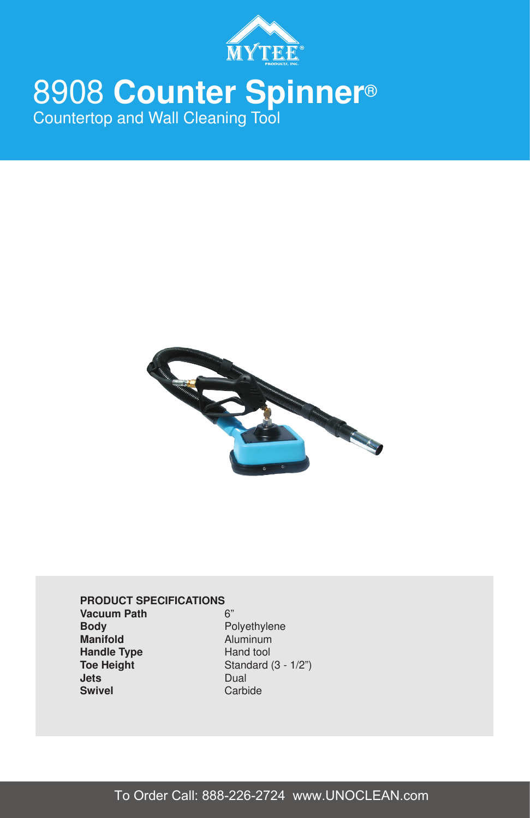

# 8908 **Counter Spinner**® Countertop and Wall Cleaning Tool



# **PRODUCT SPECIFICATIONS Vacuum Path** 6" **Body Polyethylene Manifold Aluminum Handle Type Hand tool**<br> **Toe Height Containery Standard Toe Height Standard (3 - 1/2")**<br> **Jets Dual Swivel** Carbide

Dual